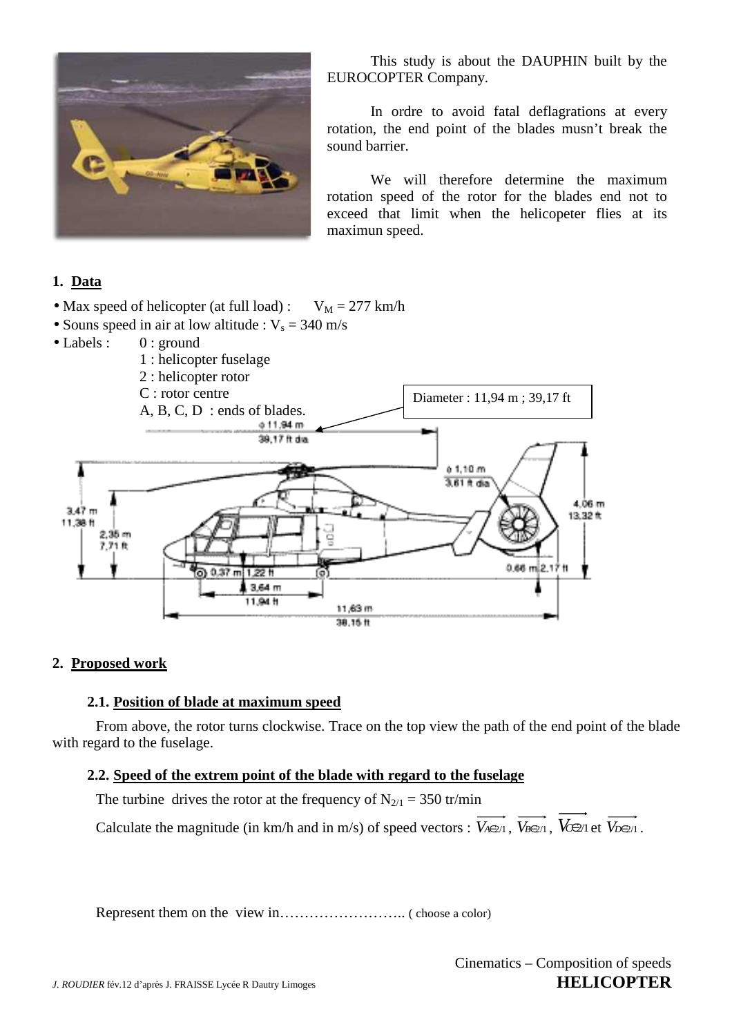

 This study is about the DAUPHIN built by the EUROCOPTER Company.

 In ordre to avoid fatal deflagrations at every rotation, the end point of the blades musn't break the sound barrier.

 We will therefore determine the maximum rotation speed of the rotor for the blades end not to exceed that limit when the helicopeter flies at its maximun speed.

# **1. Data**

- Max speed of helicopter (at full load) :  $V_M = 277$  km/h
- Souns speed in air at low altitude :  $V_s = 340$  m/s
- Labels : 0 : ground



### **2. Proposed work**

### **2.1. Position of blade at maximum speed**

From above, the rotor turns clockwise. Trace on the top view the path of the end point of the blade with regard to the fuselage.

## **2.2. Speed of the extrem point of the blade with regard to the fuselage**

The turbine drives the rotor at the frequency of  $N_{2/1} = 350$  tr/min

Calculate the magnitude (in km/h and in m/s) of speed vectors :  $V_{A\in 2/1}$ ,  $V_{B\in 2/1}$ ,  $V_{C\in 2/1}$  et  $V_{D\in 2/1}$ .

Represent them on the view in…………………….. ( choose a color)